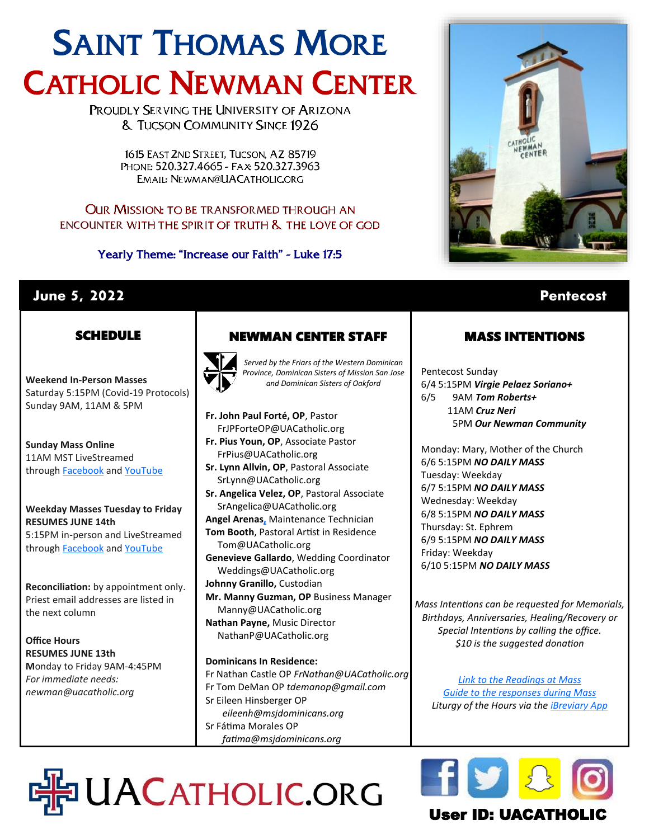# SAINT THOMAS MORE CATHOLIC NEWMAN CENTER

PROUDLY SERVING THE UNIVERSITY OF ARIZONA **& TUCSON COMMUNITY SINCE 1926** 

> 1615 EAST 2ND STREET. TUCSON, AZ 85719 PHONE: 520.327.4665 - FAX: 520.327.3963 EMAIL: NEWMAN@UACATHOLIC.ORG

### **OUR MISSION: TO BE TRANSFORMED THROUGH AN** ENCOUNTER WITH THE SPIRIT OF TRUTH & THE LOVE OF GOD

Yearly Theme: "Increase our Faith" - Luke 17:5



# **June 5, 2022 Pentecost**

# **SCHEDULE**

**Weekend In-Person Masses**  Saturday 5:15PM (Covid-19 Protocols) Sunday 9AM, 11AM & 5PM

**Sunday Mass Online** 11AM MST LiveStreamed through **[Facebook](http://www.facebook.com/uacatholic/live)** and YouTube

#### **Weekday Masses Tuesday to Friday RESUMES JUNE 14th** 5:15PM in-person and LiveStreamed

through **[Facebook](http://www.facebook.com/uacatholic/live)** and [YouTube](http://www.youtube.com/uacatholic)

**Reconciliation:** by appointment only. Priest email addresses are listed in the next column

**Office Hours RESUMES JUNE 13th M**onday to Friday 9AM-4:45PM *For immediate needs: newman@uacatholic.org*

# NEWMAN CENTER STAFF



*Served by the Friars of the Western Dominican Province, Dominican Sisters of Mission San Jose and Dominican Sisters of Oakford*

**Fr. John Paul Forté, OP**, Pastor FrJPForteOP@UACatholic.org **Fr. Pius Youn, OP**, Associate Pastor FrPius@UACatholic.org

- **Sr. Lynn Allvin, OP**, Pastoral Associate SrLynn@UACatholic.org
- **Sr. Angelica Velez, OP**, Pastoral Associate SrAngelica@UACatholic.org **Angel Arenas[,](https://diocesetucson.org/human-resources/employment-opportunities/?gnk=job&gni=8a78859e7ce7e880017d542227cb4d42)** Maintenance Technician
- **Tom Booth**, Pastoral Artist in Residence
- Tom@UACatholic.org
- **Genevieve Gallardo**, Wedding Coordinator Weddings@UACatholic.org **Johnny Granillo,** Custodian
- **Mr. Manny Guzman, OP** Business Manager Manny@UACatholic.org **Nathan Payne,** Music Director
- NathanP@UACatholic.org

### **Dominicans In Residence:**

HO UACATHOLIC.ORG

Fr Nathan Castle OP *FrNathan@UACatholic.org* Fr Tom DeMan OP *tdemanop@gmail.com* Sr Eileen Hinsberger OP *eileenh@msjdominicans.org* Sr Fátima Morales OP  *fatima@msjdominicans.org*

# MASS INTENTIONS

Pentecost Sunday 6/4 5:15PM *Virgie Pelaez Soriano+* 6/5 9AM *Tom Roberts+* 11AM *Cruz Neri* 5PM *Our Newman Community*

Monday: Mary, Mother of the Church 6/6 5:15PM *NO DAILY MASS* Tuesday: Weekday 6/7 5:15PM *NO DAILY MASS* Wednesday: Weekday 6/8 5:15PM *NO DAILY MASS* Thursday: St. Ephrem 6/9 5:15PM *NO DAILY MASS* Friday: Weekday 6/10 5:15PM *NO DAILY MASS*

*Mass Intentions can be requested for Memorials, Birthdays, Anniversaries, Healing/Recovery or Special Intentions by calling the office. \$10 is the suggested donation*

*[Link to the Readings at Mass](http://usccb.org/readings) [Guide to the responses during Mass](https://universalis.com/static/mass/orderofmass.htm) Liturgy of the Hours via the [iBreviary App](https://www.ibreviary.org/en/)*



# User ID: UACATHO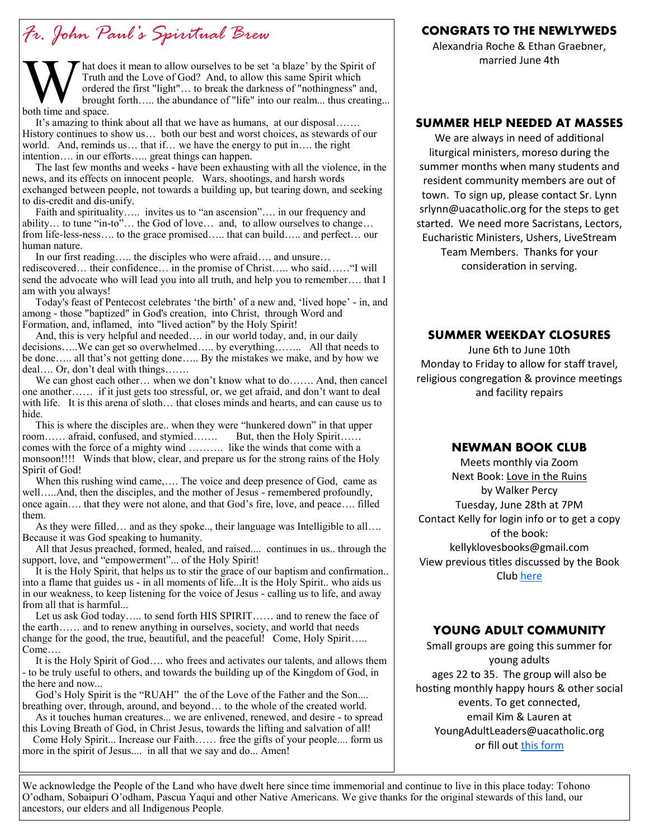# *Fr. John Paul's Spiritual Brew*

M<br>Truth a<br>both time and space.  $\blacktriangleright$  hat does it mean to allow ourselves to be set 'a blaze' by the Spirit of Truth and the Love of God? And, to allow this same Spirit which ordered the first "light"… to break the darkness of "nothingness" and, brought forth….. the abundance of "life" into our realm... thus creating...

 It's amazing to think about all that we have as humans, at our disposal……. History continues to show us… both our best and worst choices, as stewards of our world. And, reminds us… that if… we have the energy to put in…. the right intention…. in our efforts….. great things can happen.

 The last few months and weeks - have been exhausting with all the violence, in the news, and its effects on innocent people. Wars, shootings, and harsh words exchanged between people, not towards a building up, but tearing down, and seeking to dis-credit and dis-unify.

Faith and spirituality..... invites us to "an ascension".... in our frequency and ability… to tune "in-to"… the God of love… and, to allow ourselves to change… from life-less-ness.... to the grace promised..... that can build..... and perfect... our human nature.

 In our first reading….. the disciples who were afraid…. and unsure… rediscovered… their confidence… in the promise of Christ….. who said……"I will send the advocate who will lead you into all truth, and help you to remember…. that I am with you always!

 Today's feast of Pentecost celebrates 'the birth' of a new and, 'lived hope' - in, and among - those "baptized" in God's creation, into Christ, through Word and Formation, and, inflamed, into "lived action" by the Holy Spirit!

 And, this is very helpful and needed…. in our world today, and, in our daily decisions…..We can get so overwhelmed….. by everything…….. All that needs to be done….. all that's not getting done….. By the mistakes we make, and by how we deal…. Or, don't deal with things…….

We can ghost each other… when we don't know what to do……. And, then cancel one another…… if it just gets too stressful, or, we get afraid, and don't want to deal with life. It is this arena of sloth… that closes minds and hearts, and can cause us to hide.

 This is where the disciples are.. when they were "hunkered down" in that upper room…… afraid, confused, and stymied……. But, then the Holy Spirit…… comes with the force of a mighty wind ………. like the winds that come with a monsoon!!!! Winds that blow, clear, and prepare us for the strong rains of the Holy Spirit of God!

When this rushing wind came,.... The voice and deep presence of God, came as well…..And, then the disciples, and the mother of Jesus - remembered profoundly, once again…. that they were not alone, and that God's fire, love, and peace…. filled them.

 As they were filled… and as they spoke.., their language was Intelligible to all…. Because it was God speaking to humanity.

 All that Jesus preached, formed, healed, and raised.... continues in us.. through the support, love, and "empowerment"... of the Holy Spirit!

 It is the Holy Spirit, that helps us to stir the grace of our baptism and confirmation.. into a flame that guides us - in all moments of life...It is the Holy Spirit.. who aids us in our weakness, to keep listening for the voice of Jesus - calling us to life, and away from all that is harmful...

 Let us ask God today….. to send forth HIS SPIRIT…… and to renew the face of the earth…… and to renew anything in ourselves, society, and world that needs change for the good, the true, beautiful, and the peaceful! Come, Holy Spirit..... Come….

 It is the Holy Spirit of God…. who frees and activates our talents, and allows them - to be truly useful to others, and towards the building up of the Kingdom of God, in the here and now...

 God's Holy Spirit is the "RUAH" the of the Love of the Father and the Son.... breathing over, through, around, and beyond… to the whole of the created world.

 As it touches human creatures... we are enlivened, renewed, and desire - to spread this Loving Breath of God, in Christ Jesus, towards the lifting and salvation of all!

 Come Holy Spirit... Increase our Faith…… free the gifts of your people.... form us more in the spirit of Jesus.... in all that we say and do... Amen!

### **CONGRATS TO THE NEWLYWEDS**

Alexandria Roche & Ethan Graebner, married June 4th

#### **SUMMER HELP NEEDED AT MASSES**

We are always in need of additional liturgical ministers, moreso during the summer months when many students and resident community members are out of town. To sign up, please contact Sr. Lynn srlynn@uacatholic.org for the steps to get started. We need more Sacristans, Lectors, Eucharistic Ministers, Ushers, LiveStream Team Members. Thanks for your consideration in serving.

#### **SUMMER WEEKDAY CLOSURES**

June 6th to June 10th Monday to Friday to allow for staff travel, religious congregation & province meetings and facility repairs

#### **NEWMAN BOOK CLUB**

Meets monthly via Zoom Next Book: Love in the Ruins by Walker Percy Tuesday, June 28th at 7PM Contact Kelly for login info or to get a copy of the book: kellyklovesbooks@gmail.com View previous titles discussed by the Book Club [here](https://www.goodreads.com/group/bookshelf/1128855-newman-book-club?order=d&per_page=30&shelf=read&sort=date_added&view=main)

#### **YOUNG ADULT COMMUNITY**

Small groups are going this summer for young adults ages 22 to 35. The group will also be hosting monthly happy hours & other social events. To get connected, email Kim & Lauren at YoungAdultLeaders@uacatholic.org or fill out [this form](https://docs.google.com/forms/d/e/1FAIpQLSevA_xqqbs5QDDzXLRCyV7jBXYreBKAYDq8RMziPX8UqC2ImA/viewform)

We acknowledge the People of the Land who have dwelt here since time immemorial and continue to live in this place today: Tohono O'odham, Sobaipuri O'odham, Pascua Yaqui and other Native Americans. We give thanks for the original stewards of this land, our ancestors, our elders and all Indigenous People.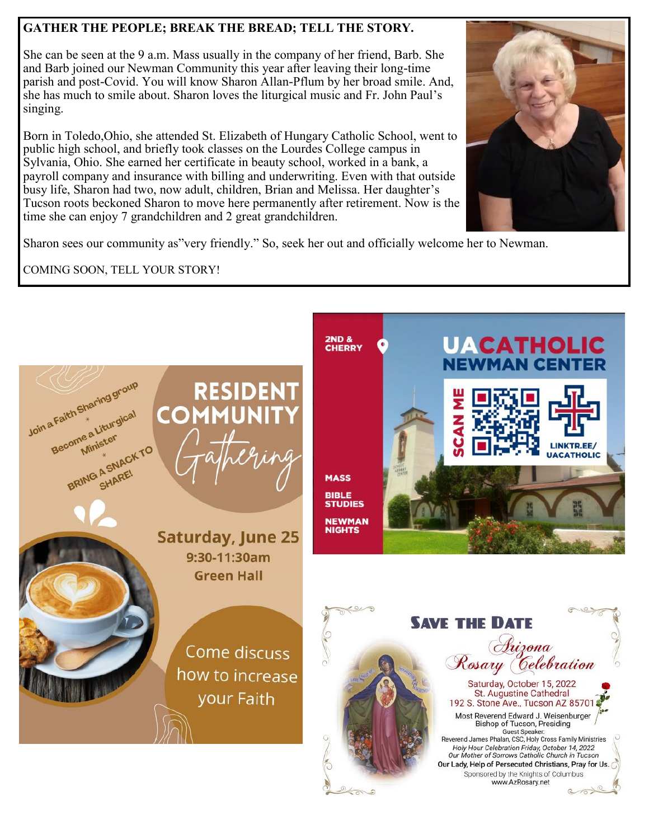## **GATHER THE PEOPLE; BREAK THE BREAD; TELL THE STORY.**

She can be seen at the 9 a.m. Mass usually in the company of her friend, Barb. She and Barb joined our Newman Community this year after leaving their long-time parish and post-Covid. You will know Sharon Allan-Pflum by her broad smile. And, she has much to smile about. Sharon loves the liturgical music and Fr. John Paul's singing.

Born in Toledo,Ohio, she attended St. Elizabeth of Hungary Catholic School, went to public high school, and briefly took classes on the Lourdes College campus in Sylvania, Ohio. She earned her certificate in beauty school, worked in a bank, a payroll company and insurance with billing and underwriting. Even with that outside busy life, Sharon had two, now adult, children, Brian and Melissa. Her daughter's Tucson roots beckoned Sharon to move here permanently after retirement. Now is the time she can enjoy 7 grandchildren and 2 great grandchildren.



Sharon sees our community as"very friendly." So, seek her out and officially welcome her to Newman.

COMING SOON, TELL YOUR STORY!